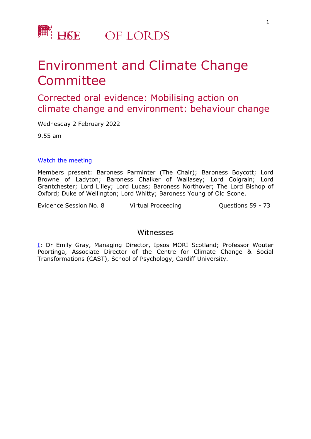

# Environment and Climate Change Committee

## Corrected oral evidence: Mobilising action on climate change and environment: behaviour change

Wednesday 2 February 2022

9.55 am

#### [Watch](https://parliamentlive.tv/event/index/6c7b2ef5-5013-4df1-8ea5-5d443e6a5c00) [the](https://parliamentlive.tv/event/index/6c7b2ef5-5013-4df1-8ea5-5d443e6a5c00) [m](https://parliamentlive.tv/event/index/6c7b2ef5-5013-4df1-8ea5-5d443e6a5c00)eeting

Members present: Baroness Parminter (The Chair); Baroness Boycott; Lord Browne of Ladyton; Baroness Chalker of Wallasey; Lord Colgrain; Lord Grantchester; Lord Lilley; Lord Lucas; Baroness Northover; The Lord Bishop of Oxford; Duke of Wellington; Lord Whitty; Baroness Young of Old Scone.

Evidence Session No. 8 The Virtual Proceeding Cuestions 59 - 73

### Witnesses

[I:](#page-1-0) Dr Emily Gray, Managing Director, Ipsos MORI Scotland; Professor Wouter Poortinga, Associate Director of the Centre for Climate Change & Social Transformations (CAST), School of Psychology, Cardiff University.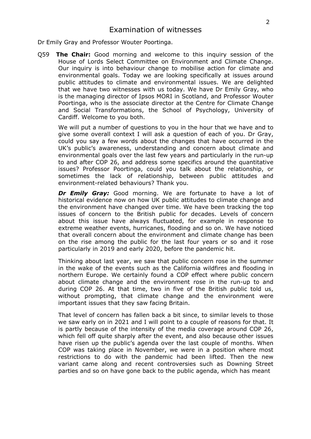<span id="page-1-0"></span>Dr Emily Gray and Professor Wouter Poortinga.

Q59 **The Chair:** Good morning and welcome to this inquiry session of the House of Lords Select Committee on Environment and Climate Change. Our inquiry is into behaviour change to mobilise action for climate and environmental goals. Today we are looking specifically at issues around public attitudes to climate and environmental issues. We are delighted that we have two witnesses with us today. We have Dr Emily Gray, who is the managing director of Ipsos MORI in Scotland, and Professor Wouter Poortinga, who is the associate director at the Centre for Climate Change and Social Transformations, the School of Psychology, University of Cardiff. Welcome to you both.

We will put a number of questions to you in the hour that we have and to give some overall context I will ask a question of each of you. Dr Gray, could you say a few words about the changes that have occurred in the UK's public's awareness, understanding and concern about climate and environmental goals over the last few years and particularly in the run-up to and after COP 26, and address some specifics around the quantitative issues? Professor Poortinga, could you talk about the relationship, or sometimes the lack of relationship, between public attitudes and environment-related behaviours? Thank you.

*Dr Emily Gray:* Good morning. We are fortunate to have a lot of historical evidence now on how UK public attitudes to climate change and the environment have changed over time. We have been tracking the top issues of concern to the British public for decades. Levels of concern about this issue have always fluctuated, for example in response to extreme weather events, hurricanes, flooding and so on. We have noticed that overall concern about the environment and climate change has been on the rise among the public for the last four years or so and it rose particularly in 2019 and early 2020, before the pandemic hit.

Thinking about last year, we saw that public concern rose in the summer in the wake of the events such as the California wildfires and flooding in northern Europe. We certainly found a COP effect where public concern about climate change and the environment rose in the run-up to and during COP 26. At that time, two in five of the British public told us, without prompting, that climate change and the environment were important issues that they saw facing Britain.

That level of concern has fallen back a bit since, to similar levels to those we saw early on in 2021 and I will point to a couple of reasons for that. It is partly because of the intensity of the media coverage around COP 26, which fell off quite sharply after the event, and also because other issues have risen up the public's agenda over the last couple of months. When COP was taking place in November, we were in a position where most restrictions to do with the pandemic had been lifted. Then the new variant came along and recent controversies such as Downing Street parties and so on have gone back to the public agenda, which has meant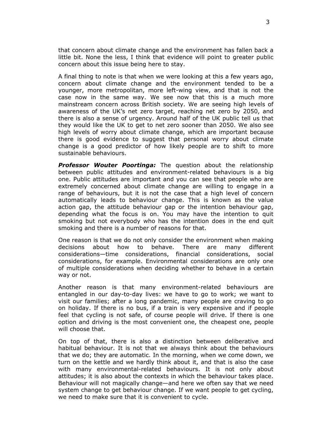that concern about climate change and the environment has fallen back a little bit. None the less, I think that evidence will point to greater public concern about this issue being here to stay.

A final thing to note is that when we were looking at this a few years ago, concern about climate change and the environment tended to be a younger, more metropolitan, more left-wing view, and that is not the case now in the same way. We see now that this is a much more mainstream concern across British society. We are seeing high levels of awareness of the UK's net zero target, reaching net zero by 2050, and there is also a sense of urgency. Around half of the UK public tell us that they would like the UK to get to net zero sooner than 2050. We also see high levels of worry about climate change, which are important because there is good evidence to suggest that personal worry about climate change is a good predictor of how likely people are to shift to more sustainable behaviours.

*Professor Wouter Poortinga:* The question about the relationship between public attitudes and environment-related behaviours is a big one. Public attitudes are important and you can see that people who are extremely concerned about climate change are willing to engage in a range of behaviours, but it is not the case that a high level of concern automatically leads to behaviour change. This is known as the value action gap, the attitude behaviour gap or the intention behaviour gap, depending what the focus is on. You may have the intention to quit smoking but not everybody who has the intention does in the end quit smoking and there is a number of reasons for that.

One reason is that we do not only consider the environment when making decisions about how to behave. There are many different considerations—time considerations, financial considerations, social considerations, for example. Environmental considerations are only one of multiple considerations when deciding whether to behave in a certain way or not.

Another reason is that many environment-related behaviours are entangled in our day-to-day lives: we have to go to work; we want to visit our families; after a long pandemic, many people are craving to go on holiday. If there is no bus, if a train is very expensive and if people feel that cycling is not safe, of course people will drive. If there is one option and driving is the most convenient one, the cheapest one, people will choose that.

On top of that, there is also a distinction between deliberative and habitual behaviour. It is not that we always think about the behaviours that we do; they are automatic. In the morning, when we come down, we turn on the kettle and we hardly think about it, and that is also the case with many environmental-related behaviours. It is not only about attitudes; it is also about the contexts in which the behaviour takes place. Behaviour will not magically change—and here we often say that we need system change to get behaviour change. If we want people to get cycling, we need to make sure that it is convenient to cycle.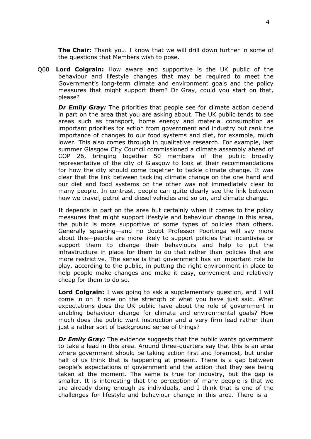**The Chair:** Thank you. I know that we will drill down further in some of the questions that Members wish to pose.

Q60 **Lord Colgrain:** How aware and supportive is the UK public of the behaviour and lifestyle changes that may be required to meet the Government's long-term climate and environment goals and the policy measures that might support them? Dr Gray, could you start on that, please?

*Dr Emily Gray:* The priorities that people see for climate action depend in part on the area that you are asking about. The UK public tends to see areas such as transport, home energy and material consumption as important priorities for action from government and industry but rank the importance of changes to our food systems and diet, for example, much lower. This also comes through in qualitative research. For example, last summer Glasgow City Council commissioned a climate assembly ahead of COP 26, bringing together 50 members of the public broadly representative of the city of Glasgow to look at their recommendations for how the city should come together to tackle climate change. It was clear that the link between tackling climate change on the one hand and our diet and food systems on the other was not immediately clear to many people. In contrast, people can quite clearly see the link between how we travel, petrol and diesel vehicles and so on, and climate change.

It depends in part on the area but certainly when it comes to the policy measures that might support lifestyle and behaviour change in this area, the public is more supportive of some types of policies than others. Generally speaking—and no doubt Professor Poortinga will say more about this—people are more likely to support policies that incentivise or support them to change their behaviours and help to put the infrastructure in place for them to do that rather than policies that are more restrictive. The sense is that government has an important role to play, according to the public, in putting the right environment in place to help people make changes and make it easy, convenient and relatively cheap for them to do so.

**Lord Colgrain:** I was going to ask a supplementary question, and I will come in on it now on the strength of what you have just said. What expectations does the UK public have about the role of government in enabling behaviour change for climate and environmental goals? How much does the public want instruction and a very firm lead rather than just a rather sort of background sense of things?

*Dr Emily Gray:* The evidence suggests that the public wants government to take a lead in this area. Around three-quarters say that this is an area where government should be taking action first and foremost, but under half of us think that is happening at present. There is a gap between people's expectations of government and the action that they see being taken at the moment. The same is true for industry, but the gap is smaller. It is interesting that the perception of many people is that we are already doing enough as individuals, and I think that is one of the challenges for lifestyle and behaviour change in this area. There is a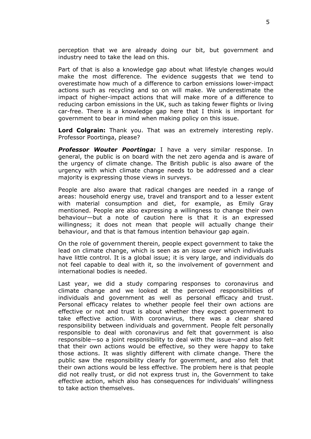perception that we are already doing our bit, but government and industry need to take the lead on this.

Part of that is also a knowledge gap about what lifestyle changes would make the most difference. The evidence suggests that we tend to overestimate how much of a difference to carbon emissions lower-impact actions such as recycling and so on will make. We underestimate the impact of higher-impact actions that will make more of a difference to reducing carbon emissions in the UK, such as taking fewer flights or living car-free. There is a knowledge gap here that I think is important for government to bear in mind when making policy on this issue.

**Lord Colgrain:** Thank you. That was an extremely interesting reply. Professor Poortinga, please?

*Professor Wouter Poortinga:* I have a very similar response. In general, the public is on board with the net zero agenda and is aware of the urgency of climate change. The British public is also aware of the urgency with which climate change needs to be addressed and a clear majority is expressing those views in surveys.

People are also aware that radical changes are needed in a range of areas: household energy use, travel and transport and to a lesser extent with material consumption and diet, for example, as Emily Gray mentioned. People are also expressing a willingness to change their own behaviour—but a note of caution here is that it is an expressed willingness; it does not mean that people will actually change their behaviour, and that is that famous intention behaviour gap again.

On the role of government therein, people expect government to take the lead on climate change, which is seen as an issue over which individuals have little control. It is a global issue; it is very large, and individuals do not feel capable to deal with it, so the involvement of government and international bodies is needed.

Last year, we did a study comparing responses to coronavirus and climate change and we looked at the perceived responsibilities of individuals and government as well as personal efficacy and trust. Personal efficacy relates to whether people feel their own actions are effective or not and trust is about whether they expect government to take effective action. With coronavirus, there was a clear shared responsibility between individuals and government. People felt personally responsible to deal with coronavirus and felt that government is also responsible—so a joint responsibility to deal with the issue—and also felt that their own actions would be effective, so they were happy to take those actions. It was slightly different with climate change. There the public saw the responsibility clearly for government, and also felt that their own actions would be less effective. The problem here is that people did not really trust, or did not express trust in, the Government to take effective action, which also has consequences for individuals' willingness to take action themselves.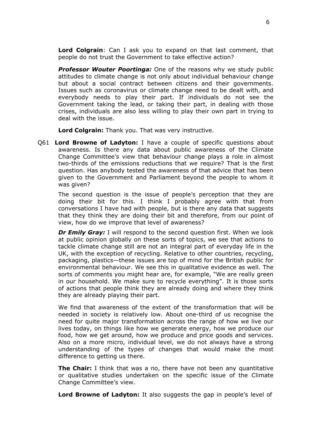**Lord Colgrain**: Can I ask you to expand on that last comment, that people do not trust the Government to take effective action?

*Professor Wouter Poortinga:* One of the reasons why we study public attitudes to climate change is not only about individual behaviour change but about a social contract between citizens and their governments. Issues such as coronavirus or climate change need to be dealt with, and everybody needs to play their part. If individuals do not see the Government taking the lead, or taking their part, in dealing with those crises, individuals are also less willing to play their own part in trying to deal with the issue.

**Lord Colgrain:** Thank you. That was very instructive.

Q61 **Lord Browne of Ladyton:** I have a couple of specific questions about awareness. Is there any data about public awareness of the Climate Change Committee's view that behaviour change plays a role in almost two-thirds of the emissions reductions that we require? That is the first question. Has anybody tested the awareness of that advice that has been given to the Government and Parliament beyond the people to whom it was given?

The second question is the issue of people's perception that they are doing their bit for this. I think I probably agree with that from conversations I have had with people, but is there any data that suggests that they think they are doing their bit and therefore, from our point of view, how do we improve that level of awareness?

**Dr Emily Gray:** I will respond to the second question first. When we look at public opinion globally on these sorts of topics, we see that actions to tackle climate change still are not an integral part of everyday life in the UK, with the exception of recycling. Relative to other countries, recycling, packaging, plastics—these issues are top of mind for the British public for environmental behaviour. We see this in qualitative evidence as well. The sorts of comments you might hear are, for example, "We are really green in our household. We make sure to recycle everything". It is those sorts of actions that people think they are already doing and where they think they are already playing their part.

We find that awareness of the extent of the transformation that will be needed in society is relatively low. About one-third of us recognise the need for quite major transformation across the range of how we live our lives today, on things like how we generate energy, how we produce our food, how we get around, how we produce and price goods and services. Also on a more micro, individual level, we do not always have a strong understanding of the types of changes that would make the most difference to getting us there.

**The Chair:** I think that was a no, there have not been any quantitative or qualitative studies undertaken on the specific issue of the Climate Change Committee's view.

**Lord Browne of Ladyton:** It also suggests the gap in people's level of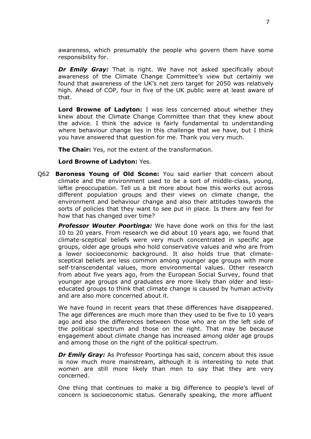awareness, which presumably the people who govern them have some responsibility for.

*Dr Emily Gray:* That is right. We have not asked specifically about awareness of the Climate Change Committee's view but certainly we found that awareness of the UK's net zero target for 2050 was relatively high. Ahead of COP, four in five of the UK public were at least aware of that.

**Lord Browne of Ladyton:** I was less concerned about whether they knew about the Climate Change Committee than that they knew about the advice. I think the advice is fairly fundamental to understanding where behaviour change lies in this challenge that we have, but I think you have answered that question for me. Thank you very much.

**The Chair:** Yes, not the extent of the transformation.

#### **Lord Browne of Ladyton:** Yes.

Q62 **Baroness Young of Old Scone:** You said earlier that concern about climate and the environment used to be a sort of middle-class, young, leftie preoccupation. Tell us a bit more about how this works out across different population groups and their views on climate change, the environment and behaviour change and also their attitudes towards the sorts of policies that they want to see put in place. Is there any feel for how that has changed over time?

*Professor Wouter Poortinga:* We have done work on this for the last 10 to 20 years. From research we did about 10 years ago, we found that climate-sceptical beliefs were very much concentrated in specific age groups, older age groups who hold conservative values and who are from a lower socioeconomic background. It also holds true that climatesceptical beliefs are less common among younger age groups with more self-transcendental values, more environmental values. Other research from about five years ago, from the European Social Survey, found that younger age groups and graduates are more likely than older and lesseducated groups to think that climate change is caused by human activity and are also more concerned about it.

We have found in recent years that these differences have disappeared. The age differences are much more than they used to be five to 10 years ago and also the differences between those who are on the left side of the political spectrum and those on the right. That may be because engagement about climate change has increased among older age groups and among those on the right of the political spectrum.

*Dr Emily Gray:* As Professor Poortinga has said, concern about this issue is now much more mainstream, although it is interesting to note that women are still more likely than men to say that they are very concerned.

One thing that continues to make a big difference to people's level of concern is socioeconomic status. Generally speaking, the more affluent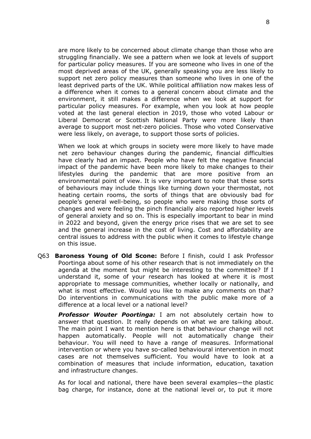are more likely to be concerned about climate change than those who are struggling financially. We see a pattern when we look at levels of support for particular policy measures. If you are someone who lives in one of the most deprived areas of the UK, generally speaking you are less likely to support net zero policy measures than someone who lives in one of the least deprived parts of the UK. While political affiliation now makes less of a difference when it comes to a general concern about climate and the environment, it still makes a difference when we look at support for particular policy measures. For example, when you look at how people voted at the last general election in 2019, those who voted Labour or Liberal Democrat or Scottish National Party were more likely than average to support most net-zero policies. Those who voted Conservative were less likely, on average, to support those sorts of policies.

When we look at which groups in society were more likely to have made net zero behaviour changes during the pandemic, financial difficulties have clearly had an impact. People who have felt the negative financial impact of the pandemic have been more likely to make changes to their lifestyles during the pandemic that are more positive from an environmental point of view. It is very important to note that these sorts of behaviours may include things like turning down your thermostat, not heating certain rooms, the sorts of things that are obviously bad for people's general well-being, so people who were making those sorts of changes and were feeling the pinch financially also reported higher levels of general anxiety and so on. This is especially important to bear in mind in 2022 and beyond, given the energy price rises that we are set to see and the general increase in the cost of living. Cost and affordability are central issues to address with the public when it comes to lifestyle change on this issue.

Q63 **Baroness Young of Old Scone:** Before I finish, could I ask Professor Poortinga about some of his other research that is not immediately on the agenda at the moment but might be interesting to the committee? If I understand it, some of your research has looked at where it is most appropriate to message communities, whether locally or nationally, and what is most effective. Would you like to make any comments on that? Do interventions in communications with the public make more of a difference at a local level or a national level?

*Professor Wouter Poortinga:* I am not absolutely certain how to answer that question. It really depends on what we are talking about. The main point I want to mention here is that behaviour change will not happen automatically. People will not automatically change their behaviour. You will need to have a range of measures. Informational intervention or where you have so-called behavioural intervention in most cases are not themselves sufficient. You would have to look at a combination of measures that include information, education, taxation and infrastructure changes.

As for local and national, there have been several examples—the plastic bag charge, for instance, done at the national level or, to put it more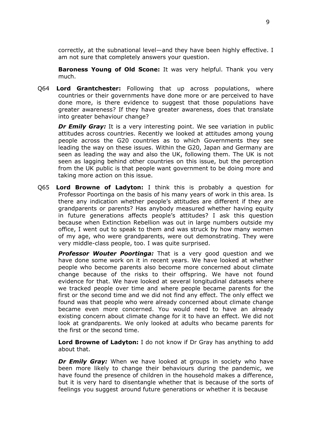correctly, at the subnational level—and they have been highly effective. I am not sure that completely answers your question.

**Baroness Young of Old Scone:** It was very helpful. Thank you very much.

Q64 **Lord Grantchester:** Following that up across populations, where countries or their governments have done more or are perceived to have done more, is there evidence to suggest that those populations have greater awareness? If they have greater awareness, does that translate into greater behaviour change?

*Dr Emily Gray:* It is a very interesting point. We see variation in public attitudes across countries. Recently we looked at attitudes among young people across the G20 countries as to which Governments they see leading the way on these issues. Within the G20, Japan and Germany are seen as leading the way and also the UK, following them. The UK is not seen as lagging behind other countries on this issue, but the perception from the UK public is that people want government to be doing more and taking more action on this issue.

Q65 **Lord Browne of Ladyton:** I think this is probably a question for Professor Poortinga on the basis of his many years of work in this area. Is there any indication whether people's attitudes are different if they are grandparents or parents? Has anybody measured whether having equity in future generations affects people's attitudes? I ask this question because when Extinction Rebellion was out in large numbers outside my office, I went out to speak to them and was struck by how many women of my age, who were grandparents, were out demonstrating. They were very middle-class people, too. I was quite surprised.

**Professor Wouter Poortinga:** That is a very good question and we have done some work on it in recent years. We have looked at whether people who become parents also become more concerned about climate change because of the risks to their offspring. We have not found evidence for that. We have looked at several longitudinal datasets where we tracked people over time and where people became parents for the first or the second time and we did not find any effect. The only effect we found was that people who were already concerned about climate change became even more concerned. You would need to have an already existing concern about climate change for it to have an effect. We did not look at grandparents. We only looked at adults who became parents for the first or the second time.

**Lord Browne of Ladyton:** I do not know if Dr Gray has anything to add about that.

*Dr Emily Gray:* When we have looked at groups in society who have been more likely to change their behaviours during the pandemic, we have found the presence of children in the household makes a difference, but it is very hard to disentangle whether that is because of the sorts of feelings you suggest around future generations or whether it is because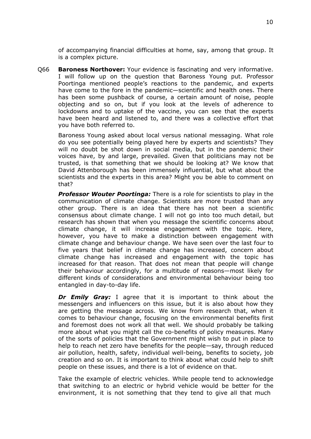of accompanying financial difficulties at home, say, among that group. It is a complex picture.

Q66 **Baroness Northover:** Your evidence is fascinating and very informative. I will follow up on the question that Baroness Young put. Professor Poortinga mentioned people's reactions to the pandemic, and experts have come to the fore in the pandemic—scientific and health ones. There has been some pushback of course, a certain amount of noise, people objecting and so on, but if you look at the levels of adherence to lockdowns and to uptake of the vaccine, you can see that the experts have been heard and listened to, and there was a collective effort that you have both referred to.

Baroness Young asked about local versus national messaging. What role do you see potentially being played here by experts and scientists? They will no doubt be shot down in social media, but in the pandemic their voices have, by and large, prevailed. Given that politicians may not be trusted, is that something that we should be looking at? We know that David Attenborough has been immensely influential, but what about the scientists and the experts in this area? Might you be able to comment on that?

*Professor Wouter Poortinga:* There is a role for scientists to play in the communication of climate change. Scientists are more trusted than any other group. There is an idea that there has not been a scientific consensus about climate change. I will not go into too much detail, but research has shown that when you message the scientific concerns about climate change, it will increase engagement with the topic. Here, however, you have to make a distinction between engagement with climate change and behaviour change. We have seen over the last four to five years that belief in climate change has increased, concern about climate change has increased and engagement with the topic has increased for that reason. That does not mean that people will change their behaviour accordingly, for a multitude of reasons—most likely for different kinds of considerations and environmental behaviour being too entangled in day-to-day life.

*Dr Emily Gray:* I agree that it is important to think about the messengers and influencers on this issue, but it is also about how they are getting the message across. We know from research that, when it comes to behaviour change, focusing on the environmental benefits first and foremost does not work all that well. We should probably be talking more about what you might call the co-benefits of policy measures. Many of the sorts of policies that the Government might wish to put in place to help to reach net zero have benefits for the people—say, through reduced air pollution, health, safety, individual well-being, benefits to society, job creation and so on. It is important to think about what could help to shift people on these issues, and there is a lot of evidence on that.

Take the example of electric vehicles. While people tend to acknowledge that switching to an electric or hybrid vehicle would be better for the environment, it is not something that they tend to give all that much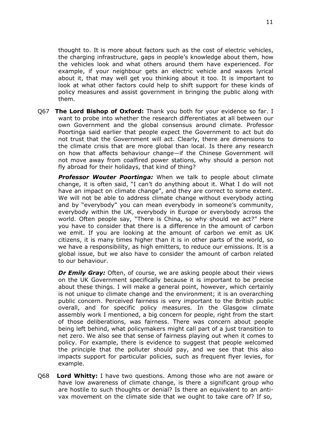thought to. It is more about factors such as the cost of electric vehicles, the charging infrastructure, gaps in people's knowledge about them, how the vehicles look and what others around them have experienced. For example, if your neighbour gets an electric vehicle and waxes lyrical about it, that may well get you thinking about it too. It is important to look at what other factors could help to shift support for these kinds of policy measures and assist government in bringing the public along with them.

Q67 **The Lord Bishop of Oxford:** Thank you both for your evidence so far. I want to probe into whether the research differentiates at all between our own Government and the global consensus around climate. Professor Poortinga said earlier that people expect the Government to act but do not trust that the Government will act. Clearly, there are dimensions to the climate crisis that are more global than local. Is there any research on how that affects behaviour change—if the Chinese Government will not move away from coalfired power stations, why should a person not fly abroad for their holidays, that kind of thing?

*Professor Wouter Poortinga:* When we talk to people about climate change, it is often said, "I can't do anything about it. What I do will not have an impact on climate change", and they are correct to some extent. We will not be able to address climate change without everybody acting and by "everybody" you can mean everybody in someone's community, everybody within the UK, everybody in Europe or everybody across the world. Often people say, "There is China, so why should we act?" Here you have to consider that there is a difference in the amount of carbon we emit. If you are looking at the amount of carbon we emit as UK citizens, it is many times higher than it is in other parts of the world, so we have a responsibility, as high emitters, to reduce our emissions. It is a global issue, but we also have to consider the amount of carbon related to our behaviour.

*Dr Emily Gray:* Often, of course, we are asking people about their views on the UK Government specifically because it is important to be precise about these things. I will make a general point, however, which certainly is not unique to climate change and the environment; it is an overarching public concern. Perceived fairness is very important to the British public overall, and for specific policy measures. In the Glasgow climate assembly work I mentioned, a big concern for people, right from the start of those deliberations, was fairness. There was concern about people being left behind, what policymakers might call part of a just transition to net zero. We also see that sense of fairness playing out when it comes to policy. For example, there is evidence to suggest that people welcomed the principle that the polluter should pay, and we see that this also impacts support for particular policies, such as frequent flyer levies, for example.

Q68 **Lord Whitty:** I have two questions. Among those who are not aware or have low awareness of climate change, is there a significant group who are hostile to such thoughts or denial? Is there an equivalent to an antivax movement on the climate side that we ought to take care of? If so,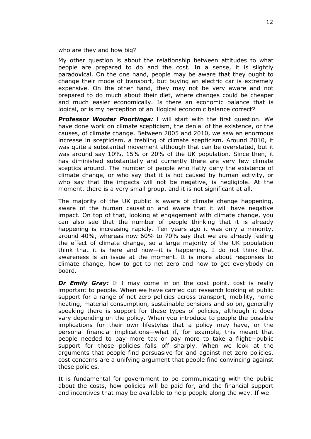who are they and how big?

My other question is about the relationship between attitudes to what people are prepared to do and the cost. In a sense, it is slightly paradoxical. On the one hand, people may be aware that they ought to change their mode of transport, but buying an electric car is extremely expensive. On the other hand, they may not be very aware and not prepared to do much about their diet, where changes could be cheaper and much easier economically. Is there an economic balance that is logical, or is my perception of an illogical economic balance correct?

*Professor Wouter Poortinga:* I will start with the first question. We have done work on climate scepticism, the denial of the existence, or the causes, of climate change. Between 2005 and 2010, we saw an enormous increase in scepticism, a trebling of climate scepticism. Around 2010, it was quite a substantial movement although that can be overstated, but it was around say 10%, 15% or 20% of the UK population. Since then, it has diminished substantially and currently there are very few climate sceptics around. The number of people who flatly deny the existence of climate change, or who say that it is not caused by human activity, or who say that the impacts will not be negative, is negligible. At the moment, there is a very small group, and it is not significant at all.

The majority of the UK public is aware of climate change happening, aware of the human causation and aware that it will have negative impact. On top of that, looking at engagement with climate change, you can also see that the number of people thinking that it is already happening is increasing rapidly. Ten years ago it was only a minority, around 40%, whereas now 60% to 70% say that we are already feeling the effect of climate change, so a large majority of the UK population think that it is here and now—it is happening. I do not think that awareness is an issue at the moment. It is more about responses to climate change, how to get to net zero and how to get everybody on board.

*Dr Emily Gray:* If I may come in on the cost point, cost is really important to people. When we have carried out research looking at public support for a range of net zero policies across transport, mobility, home heating, material consumption, sustainable pensions and so on, generally speaking there is support for these types of policies, although it does vary depending on the policy. When you introduce to people the possible implications for their own lifestyles that a policy may have, or the personal financial implications—what if, for example, this meant that people needed to pay more tax or pay more to take a flight—public support for those policies falls off sharply. When we look at the arguments that people find persuasive for and against net zero policies, cost concerns are a unifying argument that people find convincing against these policies.

It is fundamental for government to be communicating with the public about the costs, how policies will be paid for, and the financial support and incentives that may be available to help people along the way. If we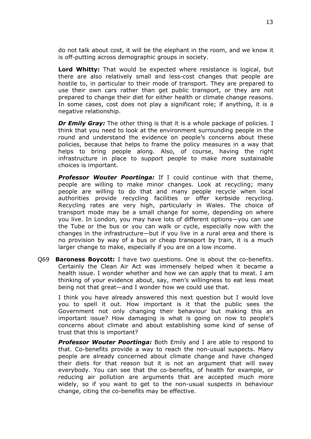do not talk about cost, it will be the elephant in the room, and we know it is off-putting across demographic groups in society.

**Lord Whitty:** That would be expected where resistance is logical, but there are also relatively small and less-cost changes that people are hostile to, in particular to their mode of transport. They are prepared to use their own cars rather than get public transport, or they are not prepared to change their diet for either health or climate change reasons. In some cases, cost does not play a significant role; if anything, it is a negative relationship.

*Dr Emily Gray:* The other thing is that it is a whole package of policies. I think that you need to look at the environment surrounding people in the round and understand the evidence on people's concerns about these policies, because that helps to frame the policy measures in a way that helps to bring people along. Also, of course, having the right infrastructure in place to support people to make more sustainable choices is important.

*Professor Wouter Poortinga:* If I could continue with that theme, people are willing to make minor changes. Look at recycling; many people are willing to do that and many people recycle when local authorities provide recycling facilities or offer kerbside recycling. Recycling rates are very high, particularly in Wales. The choice of transport mode may be a small change for some, depending on where you live. In London, you may have lots of different options—you can use the Tube or the bus or you can walk or cycle, especially now with the changes in the infrastructure—but if you live in a rural area and there is no provision by way of a bus or cheap transport by train, it is a much larger change to make, especially if you are on a low income.

Q69 **Baroness Boycott:** I have two questions. One is about the co-benefits. Certainly the Clean Air Act was immensely helped when it became a health issue. I wonder whether and how we can apply that to meat. I am thinking of your evidence about, say, men's willingness to eat less meat being not that great—and I wonder how we could use that.

I think you have already answered this next question but I would love you to spell it out. How important is it that the public sees the Government not only changing their behaviour but making this an important issue? How damaging is what is going on now to people's concerns about climate and about establishing some kind of sense of trust that this is important?

*Professor Wouter Poortinga:* Both Emily and I are able to respond to that. Co-benefits provide a way to reach the non-usual suspects. Many people are already concerned about climate change and have changed their diets for that reason but it is not an argument that will sway everybody. You can see that the co-benefits, of health for example, or reducing air pollution are arguments that are accepted much more widely, so if you want to get to the non-usual suspects in behaviour change, citing the co-benefits may be effective.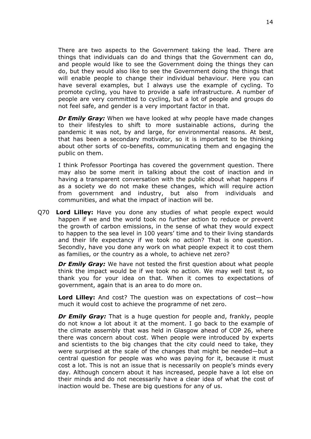There are two aspects to the Government taking the lead. There are things that individuals can do and things that the Government can do, and people would like to see the Government doing the things they can do, but they would also like to see the Government doing the things that will enable people to change their individual behaviour. Here you can have several examples, but I always use the example of cycling. To promote cycling, you have to provide a safe infrastructure. A number of people are very committed to cycling, but a lot of people and groups do not feel safe, and gender is a very important factor in that.

*Dr Emily Gray:* When we have looked at why people have made changes to their lifestyles to shift to more sustainable actions, during the pandemic it was not, by and large, for environmental reasons. At best, that has been a secondary motivator, so it is important to be thinking about other sorts of co-benefits, communicating them and engaging the public on them.

I think Professor Poortinga has covered the government question. There may also be some merit in talking about the cost of inaction and in having a transparent conversation with the public about what happens if as a society we do not make these changes, which will require action from government and industry, but also from individuals and communities, and what the impact of inaction will be.

Q70 **Lord Lilley:** Have you done any studies of what people expect would happen if we and the world took no further action to reduce or prevent the growth of carbon emissions, in the sense of what they would expect to happen to the sea level in 100 years' time and to their living standards and their life expectancy if we took no action? That is one question. Secondly, have you done any work on what people expect it to cost them as families, or the country as a whole, to achieve net zero?

*Dr Emily Gray:* We have not tested the first question about what people think the impact would be if we took no action. We may well test it, so thank you for your idea on that. When it comes to expectations of government, again that is an area to do more on.

**Lord Lilley:** And cost? The question was on expectations of cost—how much it would cost to achieve the programme of net zero.

*Dr Emily Gray:* That is a huge question for people and, frankly, people do not know a lot about it at the moment. I go back to the example of the climate assembly that was held in Glasgow ahead of COP 26, where there was concern about cost. When people were introduced by experts and scientists to the big changes that the city could need to take, they were surprised at the scale of the changes that might be needed—but a central question for people was who was paying for it, because it must cost a lot. This is not an issue that is necessarily on people's minds every day. Although concern about it has increased, people have a lot else on their minds and do not necessarily have a clear idea of what the cost of inaction would be. These are big questions for any of us.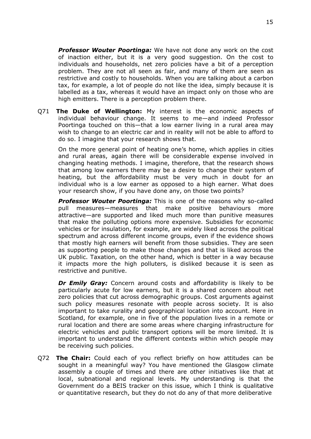*Professor Wouter Poortinga:* We have not done any work on the cost of inaction either, but it is a very good suggestion. On the cost to individuals and households, net zero policies have a bit of a perception problem. They are not all seen as fair, and many of them are seen as restrictive and costly to households. When you are talking about a carbon tax, for example, a lot of people do not like the idea, simply because it is labelled as a tax, whereas it would have an impact only on those who are high emitters. There is a perception problem there.

Q71 **The Duke of Wellington:** My interest is the economic aspects of individual behaviour change. It seems to me—and indeed Professor Poortinga touched on this—that a low earner living in a rural area may wish to change to an electric car and in reality will not be able to afford to do so. I imagine that your research shows that.

On the more general point of heating one's home, which applies in cities and rural areas, again there will be considerable expense involved in changing heating methods. I imagine, therefore, that the research shows that among low earners there may be a desire to change their system of heating, but the affordability must be very much in doubt for an individual who is a low earner as opposed to a high earner. What does your research show, if you have done any, on those two points?

*Professor Wouter Poortinga:* This is one of the reasons why so-called pull measures—measures that make positive behaviours more attractive—are supported and liked much more than punitive measures that make the polluting options more expensive. Subsidies for economic vehicles or for insulation, for example, are widely liked across the political spectrum and across different income groups, even if the evidence shows that mostly high earners will benefit from those subsidies. They are seen as supporting people to make those changes and that is liked across the UK public. Taxation, on the other hand, which is better in a way because it impacts more the high polluters, is disliked because it is seen as restrictive and punitive.

*Dr Emily Gray:* Concern around costs and affordability is likely to be particularly acute for low earners, but it is a shared concern about net zero policies that cut across demographic groups. Cost arguments against such policy measures resonate with people across society. It is also important to take rurality and geographical location into account. Here in Scotland, for example, one in five of the population lives in a remote or rural location and there are some areas where charging infrastructure for electric vehicles and public transport options will be more limited. It is important to understand the different contexts within which people may be receiving such policies.

Q72 **The Chair:** Could each of you reflect briefly on how attitudes can be sought in a meaningful way? You have mentioned the Glasgow climate assembly a couple of times and there are other initiatives like that at local, subnational and regional levels. My understanding is that the Government do a BEIS tracker on this issue, which I think is qualitative or quantitative research, but they do not do any of that more deliberative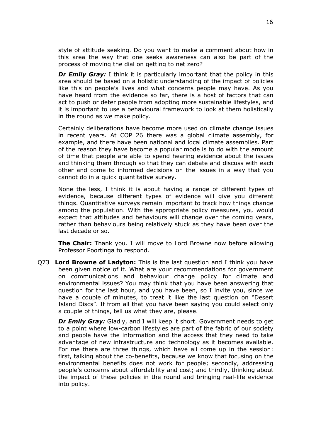style of attitude seeking. Do you want to make a comment about how in this area the way that one seeks awareness can also be part of the process of moving the dial on getting to net zero?

*Dr Emily Gray:* I think it is particularly important that the policy in this area should be based on a holistic understanding of the impact of policies like this on people's lives and what concerns people may have. As you have heard from the evidence so far, there is a host of factors that can act to push or deter people from adopting more sustainable lifestyles, and it is important to use a behavioural framework to look at them holistically in the round as we make policy.

Certainly deliberations have become more used on climate change issues in recent years. At COP 26 there was a global climate assembly, for example, and there have been national and local climate assemblies. Part of the reason they have become a popular mode is to do with the amount of time that people are able to spend hearing evidence about the issues and thinking them through so that they can debate and discuss with each other and come to informed decisions on the issues in a way that you cannot do in a quick quantitative survey.

None the less, I think it is about having a range of different types of evidence, because different types of evidence will give you different things. Quantitative surveys remain important to track how things change among the population. With the appropriate policy measures, you would expect that attitudes and behaviours will change over the coming years, rather than behaviours being relatively stuck as they have been over the last decade or so.

**The Chair:** Thank you. I will move to Lord Browne now before allowing Professor Poortinga to respond.

Q73 **Lord Browne of Ladyton:** This is the last question and I think you have been given notice of it. What are your recommendations for government on communications and behaviour change policy for climate and environmental issues? You may think that you have been answering that question for the last hour, and you have been, so I invite you, since we have a couple of minutes, to treat it like the last question on "Desert Island Discs". If from all that you have been saying you could select only a couple of things, tell us what they are, please.

*Dr Emily Gray:* Gladly, and I will keep it short. Government needs to get to a point where low-carbon lifestyles are part of the fabric of our society and people have the information and the access that they need to take advantage of new infrastructure and technology as it becomes available. For me there are three things, which have all come up in the session: first, talking about the co-benefits, because we know that focusing on the environmental benefits does not work for people; secondly, addressing people's concerns about affordability and cost; and thirdly, thinking about the impact of these policies in the round and bringing real-life evidence into policy.